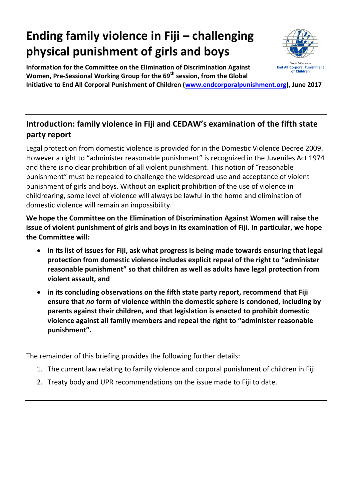# **Ending family violence in Fiji – challenging physical punishment of girls and boys**

**Information for the Committee on the Elimination of Discrimination Against Women, Pre-Sessional Working Group for the 69th session, from the Global Initiative to End All Corporal Punishment of Children [\(www.endcorporalpunishment.org\)](http://www.endcorporalpunishment.org/), June 2017**



Legal protection from domestic violence is provided for in the Domestic Violence Decree 2009. However a right to "administer reasonable punishment" is recognized in the Juveniles Act 1974 and there is no clear prohibition of all violent punishment. This notion of "reasonable punishment" must be repealed to challenge the widespread use and acceptance of violent punishment of girls and boys. Without an explicit prohibition of the use of violence in childrearing, some level of violence will always be lawful in the home and elimination of domestic violence will remain an impossibility.

**We hope the Committee on the Elimination of Discrimination Against Women will raise the issue of violent punishment of girls and boys in its examination of Fiji. In particular, we hope the Committee will:**

- **in its list of issues for Fiji, ask what progress is being made towards ensuring that legal protection from domestic violence includes explicit repeal of the right to "administer reasonable punishment" so that children as well as adults have legal protection from violent assault, and**
- **in its concluding observations on the fifth state party report, recommend that Fiji ensure that** *no* **form of violence within the domestic sphere is condoned, including by parents against their children, and that legislation is enacted to prohibit domestic violence against all family members and repeal the right to "administer reasonable punishment".**

The remainder of this briefing provides the following further details:

- 1. The current law relating to family violence and corporal punishment of children in Fiji
- 2. Treaty body and UPR recommendations on the issue made to Fiji to date.

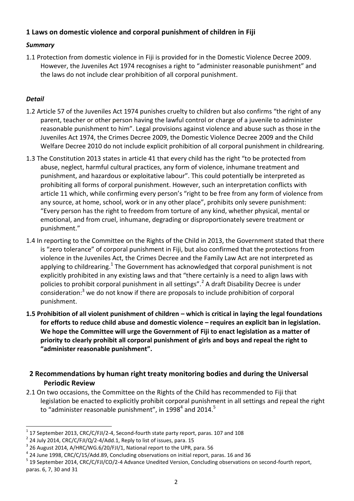# **1 Laws on domestic violence and corporal punishment of children in Fiji**

#### *Summary*

1.1 Protection from domestic violence in Fiji is provided for in the Domestic Violence Decree 2009. However, the Juveniles Act 1974 recognises a right to "administer reasonable punishment" and the laws do not include clear prohibition of all corporal punishment.

## *Detail*

- 1.2 Article 57 of the Juveniles Act 1974 punishes cruelty to children but also confirms "the right of any parent, teacher or other person having the lawful control or charge of a juvenile to administer reasonable punishment to him". Legal provisions against violence and abuse such as those in the Juveniles Act 1974, the Crimes Decree 2009, the Domestic Violence Decree 2009 and the Child Welfare Decree 2010 do not include explicit prohibition of all corporal punishment in childrearing.
- 1.3 The Constitution 2013 states in article 41 that every child has the right "to be protected from abuse, neglect, harmful cultural practices, any form of violence, inhumane treatment and punishment, and hazardous or exploitative labour". This could potentially be interpreted as prohibiting all forms of corporal punishment. However, such an interpretation conflicts with article 11 which, while confirming every person's "right to be free from any form of violence from any source, at home, school, work or in any other place", prohibits only severe punishment: "Every person has the right to freedom from torture of any kind, whether physical, mental or emotional, and from cruel, inhumane, degrading or disproportionately severe treatment or punishment."
- 1.4 In reporting to the Committee on the Rights of the Child in 2013, the Government stated that there is "zero tolerance" of corporal punishment in Fiji, but also confirmed that the protections from violence in the Juveniles Act, the Crimes Decree and the Family Law Act are not interpreted as applying to childrearing.<sup>1</sup> The Government has acknowledged that corporal punishment is not explicitly prohibited in any existing laws and that "there certainly is a need to align laws with policies to prohibit corporal punishment in all settings".<sup>2</sup> A draft Disability Decree is under consideration: $3$  we do not know if there are proposals to include prohibition of corporal punishment.
- **1.5 Prohibition of all violent punishment of children – which is critical in laying the legal foundations for efforts to reduce child abuse and domestic violence – requires an explicit ban in legislation. We hope the Committee will urge the Government of Fiji to enact legislation as a matter of priority to clearly prohibit all corporal punishment of girls and boys and repeal the right to "administer reasonable punishment".**

## **2 Recommendations by human right treaty monitoring bodies and during the Universal Periodic Review**

2.1 On two occasions, the Committee on the Rights of the Child has recommended to Fiji that legislation be enacted to explicitly prohibit corporal punishment in all settings and repeal the right to "administer reasonable punishment", in 1998<sup>4</sup> and 2014.<sup>5</sup>

 $\overline{a}$ 1 17 September 2013, CRC/C/FJI/2-4, Second-fourth state party report, paras. 107 and 108

 $^{2}$  24 July 2014, CRC/C/FJI/Q/2-4/Add.1, Reply to list of issues, para. 15

 $^3$  26 August 2014, A/HRC/WG.6/20/FJI/1, National report to the UPR, para. 56

<sup>&</sup>lt;sup>4</sup> 24 June 1998, CRC/C/15/Add.89, Concluding observations on initial report, paras. 16 and 36

<sup>&</sup>lt;sup>5</sup> 19 September 2014, CRC/C/FJI/CO/2-4 Advance Unedited Version, Concluding observations on second-fourth report, paras. 6, 7, 30 and 31